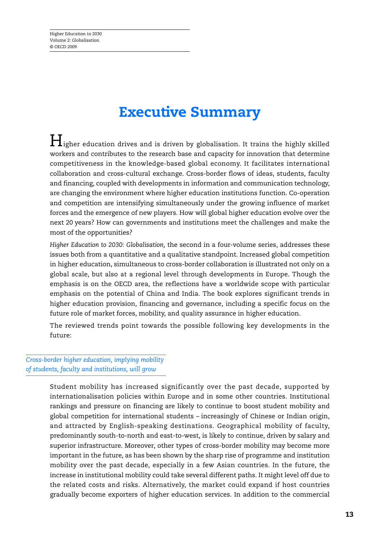## **Executive Summary**

H<sub>igher education drives and is driven by globalisation. It trains the highly skilled</sub> workers and contributes to the research base and capacity for innovation that determine competitiveness in the knowledge-based global economy. It facilitates international collaboration and cross-cultural exchange. Cross-border flows of ideas, students, faculty and financing, coupled with developments in information and communication technology, are changing the environment where higher education institutions function. Co-operation and competition are intensifying simultaneously under the growing influence of market forces and the emergence of new players. How will global higher education evolve over the next 20 years? How can governments and institutions meet the challenges and make the most of the opportunities?

*Higher Education to 2030: Globalisation,* the second in a four-volume series, addresses these issues both from a quantitative and a qualitative standpoint. Increased global competition in higher education, simultaneous to cross-border collaboration is illustrated not only on a global scale, but also at a regional level through developments in Europe. Though the emphasis is on the OECD area, the reflections have a worldwide scope with particular emphasis on the potential of China and India. The book explores significant trends in higher education provision, financing and governance, including a specific focus on the future role of market forces, mobility, and quality assurance in higher education.

The reviewed trends point towards the possible following key developments in the future:

## *Cross-border higher education, implying mobility of students, faculty and institutions, will grow*

Student mobility has increased significantly over the past decade, supported by internationalisation policies within Europe and in some other countries. Institutional rankings and pressure on financing are likely to continue to boost student mobility and global competition for international students – increasingly of Chinese or Indian origin, and attracted by English-speaking destinations. Geographical mobility of faculty, predominantly south-to-north and east-to-west, is likely to continue, driven by salary and superior infrastructure. Moreover, other types of cross-border mobility may become more important in the future, as has been shown by the sharp rise of programme and institution mobility over the past decade, especially in a few Asian countries. In the future, the increase in institutional mobility could take several different paths. It might level off due to the related costs and risks. Alternatively, the market could expand if host countries gradually become exporters of higher education services. In addition to the commercial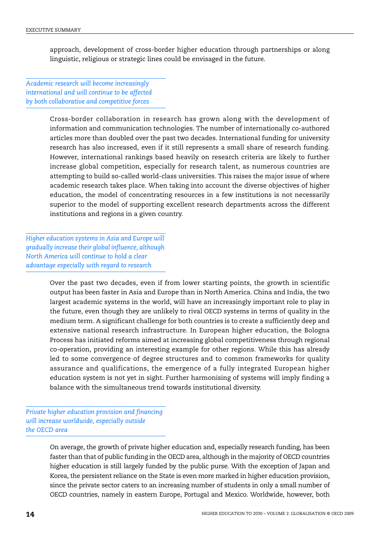approach, development of cross-border higher education through partnerships or along linguistic, religious or strategic lines could be envisaged in the future.

*Academic research will become increasingly international and will continue to be affected by both collaborative and competitive forces*

> Cross-border collaboration in research has grown along with the development of information and communication technologies. The number of internationally co-authored articles more than doubled over the past two decades. International funding for university research has also increased, even if it still represents a small share of research funding. However, international rankings based heavily on research criteria are likely to further increase global competition, especially for research talent, as numerous countries are attempting to build so-called world-class universities. This raises the major issue of where academic research takes place. When taking into account the diverse objectives of higher education, the model of concentrating resources in a few institutions is not necessarily superior to the model of supporting excellent research departments across the different institutions and regions in a given country.

*Higher education systems in Asia and Europe will gradually increase their global influence, although North America will continue to hold a clear advantage especially with regard to research* 

> Over the past two decades, even if from lower starting points, the growth in scientific output has been faster in Asia and Europe than in North America. China and India, the two largest academic systems in the world, will have an increasingly important role to play in the future, even though they are unlikely to rival OECD systems in terms of quality in the medium term. A significant challenge for both countries is to create a sufficiently deep and extensive national research infrastructure. In European higher education, the Bologna Process has initiated reforms aimed at increasing global competitiveness through regional co-operation, providing an interesting example for other regions. While this has already led to some convergence of degree structures and to common frameworks for quality assurance and qualifications, the emergence of a fully integrated European higher education system is not yet in sight. Further harmonising of systems will imply finding a balance with the simultaneous trend towards institutional diversity.

*Private higher education provision and financing will increase worldwide, especially outside the OECD area*

> On average, the growth of private higher education and, especially research funding, has been faster than that of public funding in the OECD area, although in the majority of OECD countries higher education is still largely funded by the public purse. With the exception of Japan and Korea, the persistent reliance on the State is even more marked in higher education provision, since the private sector caters to an increasing number of students in only a small number of OECD countries, namely in eastern Europe, Portugal and Mexico. Worldwide, however, both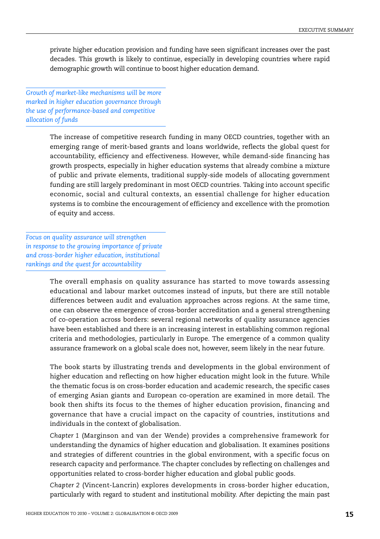private higher education provision and funding have seen significant increases over the past decades. This growth is likely to continue, especially in developing countries where rapid demographic growth will continue to boost higher education demand.

*Growth of market-like mechanisms will be more marked in higher education governance through the use of performance-based and competitive allocation of funds*

> The increase of competitive research funding in many OECD countries, together with an emerging range of merit-based grants and loans worldwide, reflects the global quest for accountability, efficiency and effectiveness. However, while demand-side financing has growth prospects, especially in higher education systems that already combine a mixture of public and private elements, traditional supply-side models of allocating government funding are still largely predominant in most OECD countries. Taking into account specific economic, social and cultural contexts, an essential challenge for higher education systems is to combine the encouragement of efficiency and excellence with the promotion of equity and access.

*Focus on quality assurance will strengthen in response to the growing importance of private and cross-border higher education, institutional rankings and the quest for accountability*

> The overall emphasis on quality assurance has started to move towards assessing educational and labour market outcomes instead of inputs, but there are still notable differences between audit and evaluation approaches across regions. At the same time, one can observe the emergence of cross-border accreditation and a general strengthening of co-operation across borders: several regional networks of quality assurance agencies have been established and there is an increasing interest in establishing common regional criteria and methodologies, particularly in Europe. The emergence of a common quality assurance framework on a global scale does not, however, seem likely in the near future.

> The book starts by illustrating trends and developments in the global environment of higher education and reflecting on how higher education might look in the future. While the thematic focus is on cross-border education and academic research, the specific cases of emerging Asian giants and European co-operation are examined in more detail. The book then shifts its focus to the themes of higher education provision, financing and governance that have a crucial impact on the capacity of countries, institutions and individuals in the context of globalisation.

> *Chapter 1* (Marginson and van der Wende) provides a comprehensive framework for understanding the dynamics of higher education and globalisation. It examines positions and strategies of different countries in the global environment, with a specific focus on research capacity and performance. The chapter concludes by reflecting on challenges and opportunities related to cross-border higher education and global public goods.

> *Chapter 2* (Vincent-Lancrin) explores developments in cross-border higher education, particularly with regard to student and institutional mobility. After depicting the main past